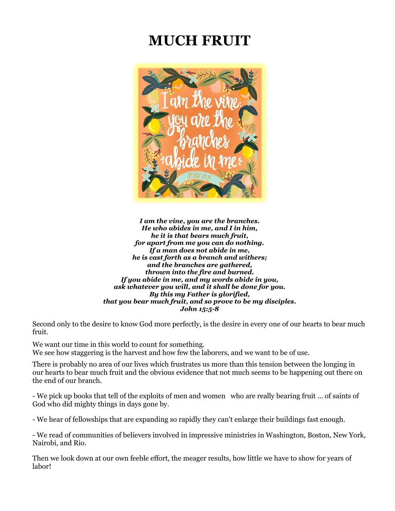# **MUCH FRUIT**



*I am the vine, you are the branches. He who abides in me, and I in him, he it is that bears much fruit, for apart from me you can do nothing. If a man does not abide in me, he is cast forth as a branch and withers; and the branches are gathered, thrown into the fire and burned. If you abide in me, and my words abide in you, ask whatever you will, and it shall be done for you. By this my Father is glorified, that you bear much fruit, and so prove to be my disciples. John 15:5-8*

Second only to the desire to know God more perfectly, is the desire in every one of our hearts to bear much fruit.

We want our time in this world to count for something. We see how staggering is the harvest and how few the laborers, and we want to be of use.

There is probably no area of our lives which frustrates us more than this tension between the longing in our hearts to bear much fruit and the obvious evidence that not much seems to be happening out there on the end of our branch.

- We pick up books that tell of the exploits of men and women who are really bearing fruit ... of saints of God who did mighty things in days gone by.

- We hear of fellowships that are expanding so rapidly they can't enlarge their buildings fast enough.

- We read of communities of believers involved in impressive ministries in Washington, Boston, New York, Nairobi, and Rio.

Then we look down at our own feeble effort, the meager results, how little we have to show for years of labor!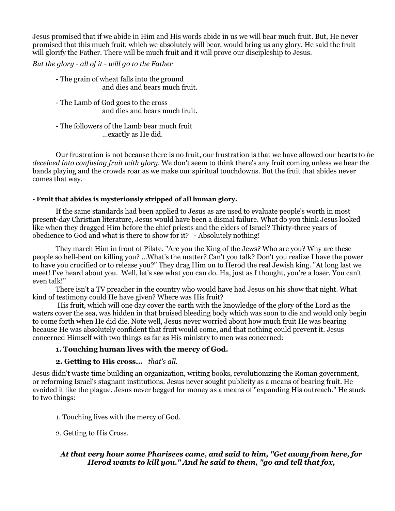Jesus promised that if we abide in Him and His words abide in us we will bear much fruit. But, He never promised that this much fruit, which we absolutely will bear, would bring us any glory. He said the fruit will glorify the Father. There will be much fruit and it will prove our discipleship to Jesus.

*But the glory - all of it - will go to the Father*

- The grain of wheat falls into the ground and dies and bears much fruit.
- The Lamb of God goes to the cross and dies and bears much fruit.
- The followers of the Lamb bear much fruit ...exactly as He did.

Our frustration is not because there is no fruit, our frustration is that we have allowed our hearts to *be deceived into confusing fruit with glory*. We don't seem to think there's any fruit coming unless we hear the bands playing and the crowds roar as we make our spiritual touchdowns. But the fruit that abides never comes that way.

#### **- Fruit that abides is mysteriously stripped of all human glory.**

If the same standards had been applied to Jesus as are used to evaluate people's worth in most present-day Christian literature, Jesus would have been a dismal failure. What do you think Jesus looked like when they dragged Him before the chief priests and the elders of Israel? Thirty-three years of obedience to God and what is there to show for it? - Absolutely nothing!

They march Him in front of Pilate. "Are you the King of the Jews? Who are you? Why are these people so hell-bent on killing you? ...What's the matter? Can't you talk? Don't you realize I have the power to have you crucified or to release you?" They drag Him on to Herod the real Jewish king. "At long last we meet! I've heard about you. Well, let's see what you can do. Ha, just as I thought, you're a loser. You can't even talk!"

There isn't a TV preacher in the country who would have had Jesus on his show that night. What kind of testimony could He have given? Where was His fruit?

His fruit, which will one day cover the earth with the knowledge of the glory of the Lord as the waters cover the sea, was hidden in that bruised bleeding body which was soon to die and would only begin to come forth when He did die. Note well, Jesus never worried about how much fruit He was bearing because He was absolutely confident that fruit would come, and that nothing could prevent it. Jesus concerned Himself with two things as far as His ministry to men was concerned:

### **1. Touching human lives with the mercy of God.**

### **2. Getting to His cross...** *that's all.*

Jesus didn't waste time building an organization, writing books, revolutionizing the Roman government, or reforming Israel's stagnant institutions. Jesus never sought publicity as a means of bearing fruit. He avoided it like the plague. Jesus never begged for money as a means of "expanding His outreach." He stuck to two things:

- 1. Touching lives with the mercy of God.
- 2. Getting to His Cross.

# *At that very hour some Pharisees came, and said to him, "Get away from here, for Herod wants to kill you." And he said to them, "go and tell that fox,*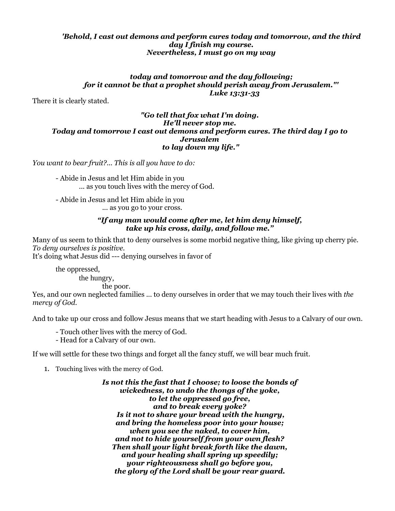#### *'Behold, I cast out demons and perform cures today and tomorrow, and the third day I finish my course. Nevertheless, I must go on my way*

#### *today and tomorrow and the day following; for it cannot be that a prophet should perish away from Jerusalem."' Luke 13:31-33*

There it is clearly stated.

#### *"Go tell that fox what I'm doing. He'll never stop me. Today and tomorrow I cast out demons and perform cures. The third day I go to Jerusalem to lay down my life."*

*You want to bear fruit?... This is all you have to do:*

- Abide in Jesus and let Him abide in you ... as you touch lives with the mercy of God.

- Abide in Jesus and let Him abide in you ... as you go to your cross.

#### *"If any man would come after me, let him deny himself, take up his cross, daily, and follow me."*

Many of us seem to think that to deny ourselves is some morbid negative thing, like giving up cherry pie. *To deny ourselves is positive.* It's doing what Jesus did --- denying ourselves in favor of

the oppressed, the hungry,

the poor.

Yes, and our own neglected families ... to deny ourselves in order that we may touch their lives with *the mercy of God.*

And to take up our cross and follow Jesus means that we start heading with Jesus to a Calvary of our own.

- Touch other lives with the mercy of God.

- Head for a Calvary of our own.

If we will settle for these two things and forget all the fancy stuff, we will bear much fruit.

1. Touching lives with the mercy of God.

*Is not this the fast that I choose; to loose the bonds of wickedness, to undo the thongs of the yoke, to let the oppressed go free, and to break every yoke? Is it not to share your bread with the hungry, and bring the homeless poor into your house; when you see the naked, to cover him, and not to hide yourself from your own flesh? Then shall your light break forth like the dawn, and your healing shall spring up speedily; your righteousness shall go before you, the glory of the Lord shall be your rear guard.*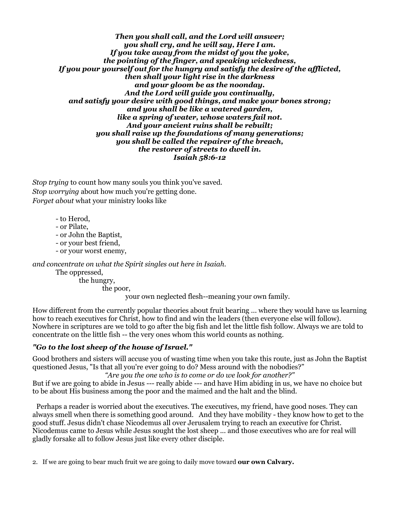*Then you shall call, and the Lord will answer; you shall cry, and he will say, Here I am. If you take away from the midst of you the yoke, the pointing of the finger, and speaking wickedness, If you pour yourself out for the hungry and satisfy the desire of the afflicted, then shall your light rise in the darkness and your gloom be as the noonday. And the Lord will guide you continually, and satisfy your desire with good things, and make your bones strong; and you shall be like a watered garden, like a spring of water, whose waters fail not. And your ancient ruins shall be rebuilt; you shall raise up the foundations of many generations; you shall be called the repairer of the breach, the restorer of streets to dwell in. Isaiah 58:6-12*

*Stop trying* to count how many souls you think you've saved. *Stop worrying* about how much you're getting done. *Forget about* what your ministry looks like

- to Herod,
- or Pilate,
- or John the Baptist,
- or your best friend,
- or your worst enemy,

*and concentrate on what the Spirit singles out here in Isaiah.*

The oppressed,

the hungry,

the poor,

your own neglected flesh--meaning your own family.

How different from the currently popular theories about fruit bearing ... where they would have us learning how to reach executives for Christ, how to find and win the leaders (then everyone else will follow). Nowhere in scriptures are we told to go after the big fish and let the little fish follow. Always we are told to concentrate on the little fish -- the very ones whom this world counts as nothing.

# *"Go to the lost sheep of the house of Israel."*

Good brothers and sisters will accuse you of wasting time when you take this route, just as John the Baptist questioned Jesus, "Is that all you're ever going to do? Mess around with the nobodies?"

*"Are you the one who is to come or do we look for another?"*

But if we are going to abide in Jesus --- really abide --- and have Him abiding in us, we have no choice but to be about His business among the poor and the maimed and the halt and the blind.

Perhaps a reader is worried about the executives. The executives, my friend, have good noses. They can always smell when there is something good around. And they have mobility - they know how to get to the good stuff. Jesus didn't chase Nicodemus all over Jerusalem trying to reach an executive for Christ. Nicodemus came to Jesus while Jesus sought the lost sheep ... and those executives who are for real will gladly forsake all to follow Jesus just like every other disciple.

2. If we are going to bear much fruit we are going to daily move toward **our own Calvary.**